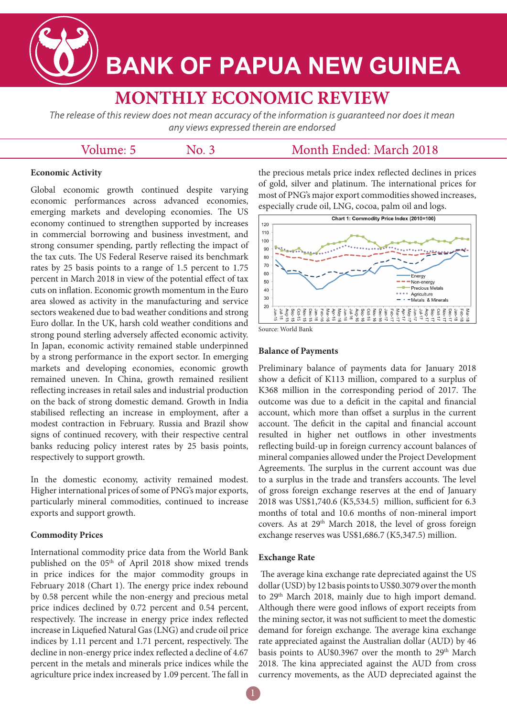**BANK OF PAPUA NEW GUINEA** 

# **MONTHLY ECONOMIC REVIEW**

The release of this review does not mean accuracy of the information is quaranteed nor does it mean any views expressed therein are endorsed

## Volume: 5

 $No. 3$ 

# Month Ended: March 2018

## **Economic Activity**

Global economic growth continued despite varying economic performances across advanced economies, emerging markets and developing economies. The US economy continued to strengthen supported by increases in commercial borrowing and business investment, and strong consumer spending, partly reflecting the impact of the tax cuts. The US Federal Reserve raised its benchmark rates by 25 basis points to a range of 1.5 percent to 1.75 percent in March 2018 in view of the potential effect of tax cuts on inflation. Economic growth momentum in the Euro area slowed as activity in the manufacturing and service sectors weakened due to bad weather conditions and strong Euro dollar. In the UK, harsh cold weather conditions and strong pound sterling adversely affected economic activity. In Japan, economic activity remained stable underpinned by a strong performance in the export sector. In emerging markets and developing economies, economic growth remained uneven. In China, growth remained resilient reflecting increases in retail sales and industrial production on the back of strong domestic demand. Growth in India stabilised reflecting an increase in employment, after a modest contraction in February. Russia and Brazil show signs of continued recovery, with their respective central banks reducing policy interest rates by 25 basis points, respectively to support growth.

In the domestic economy, activity remained modest. Higher international prices of some of PNG's major exports, particularly mineral commodities, continued to increase exports and support growth.

#### **Commodity Prices**

International commodity price data from the World Bank published on the 05<sup>th</sup> of April 2018 show mixed trends in price indices for the major commodity groups in February 2018 (Chart 1). The energy price index rebound by 0.58 percent while the non-energy and precious metal price indices declined by 0.72 percent and 0.54 percent, respectively. The increase in energy price index reflected increase in Liquefied Natural Gas (LNG) and crude oil price indices by 1.11 percent and 1.71 percent, respectively. The decline in non-energy price index reflected a decline of 4.67 percent in the metals and minerals price indices while the agriculture price index increased by 1.09 percent. The fall in

the precious metals price index reflected declines in prices of gold, silver and platinum. The international prices for most of PNG's major export commodities showed increases, especially crude oil, LNG, cocoa, palm oil and logs.



Source: World Bank

#### **Balance of Payments**

Preliminary balance of payments data for January 2018 show a deficit of K113 million, compared to a surplus of K368 million in the corresponding period of 2017. The outcome was due to a deficit in the capital and financial account, which more than offset a surplus in the current account. The deficit in the capital and financial account resulted in higher net outflows in other investments reflecting build-up in foreign currency account balances of mineral companies allowed under the Project Development Agreements. The surplus in the current account was due to a surplus in the trade and transfers accounts. The level of gross foreign exchange reserves at the end of January 2018 was US\$1,740.6 (K5,534.5) million, sufficient for 6.3 months of total and 10.6 months of non-mineral import covers. As at 29th March 2018, the level of gross foreign exchange reserves was US\$1,686.7 (K5,347.5) million.

#### **Exchange Rate**

The average kina exchange rate depreciated against the US dollar (USD) by 12 basis points to US\$0.3079 over the month to 29<sup>th</sup> March 2018, mainly due to high import demand. Although there were good inflows of export receipts from the mining sector, it was not sufficient to meet the domestic demand for foreign exchange. The average kina exchange rate appreciated against the Australian dollar (AUD) by 46 basis points to AU\$0.3967 over the month to 29<sup>th</sup> March 2018. The kina appreciated against the AUD from cross currency movements, as the AUD depreciated against the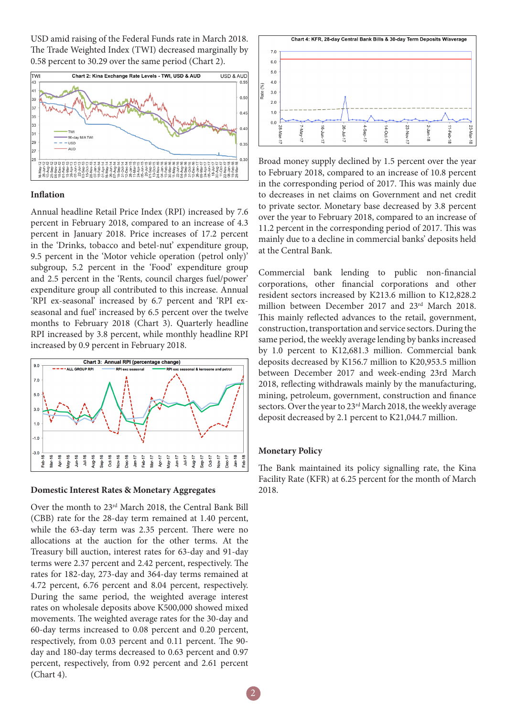USD amid raising of the Federal Funds rate in March 2018. The Trade Weighted Index (TWI) decreased marginally by 0.58 percent to 30.29 over the same period (Chart 2).



#### **Inflation**

Annual headline Retail Price Index (RPI) increased by 7.6 percent in February 2018, compared to an increase of 4.3 percent in January 2018. Price increases of 17.2 percent in the 'Drinks, tobacco and betel-nut' expenditure group, 9.5 percent in the 'Motor vehicle operation (petrol only)' subgroup, 5.2 percent in the 'Food' expenditure group and 2.5 percent in the 'Rents, council charges fuel/power' expenditure group all contributed to this increase. Annual 'RPI ex-seasonal' increased by 6.7 percent and 'RPI exseasonal and fuel' increased by 6.5 percent over the twelve months to February 2018 (Chart 3). Quarterly headline RPI increased by 3.8 percent, while monthly headline RPI increased by 0.9 percent in February 2018.



#### **Domestic Interest Rates & Monetary Aggregates**

Over the month to 23rd March 2018, the Central Bank Bill (CBB) rate for the 28-day term remained at 1.40 percent, while the 63-day term was 2.35 percent. There were no allocations at the auction for the other terms. At the Treasury bill auction, interest rates for 63-day and 91-day terms were 2.37 percent and 2.42 percent, respectively. The rates for 182-day, 273-day and 364-day terms remained at 4.72 percent, 6.76 percent and 8.04 percent, respectively. During the same period, the weighted average interest rates on wholesale deposits above K500,000 showed mixed movements. The weighted average rates for the 30-day and 60-day terms increased to 0.08 percent and 0.20 percent, respectively, from 0.03 percent and 0.11 percent. The 90 day and 180-day terms decreased to 0.63 percent and 0.97 percent, respectively, from 0.92 percent and 2.61 percent (Chart 4).



Broad money supply declined by 1.5 percent over the year to February 2018, compared to an increase of 10.8 percent in the corresponding period of 2017. This was mainly due to decreases in net claims on Government and net credit to private sector. Monetary base decreased by 3.8 percent over the year to February 2018, compared to an increase of 11.2 percent in the corresponding period of 2017. This was mainly due to a decline in commercial banks' deposits held at the Central Bank.

Commercial bank lending to public non-financial corporations, other financial corporations and other resident sectors increased by K213.6 million to K12,828.2 million between December 2017 and 23rd March 2018. This mainly reflected advances to the retail, government, construction, transportation and service sectors. During the same period, the weekly average lending by banks increased by 1.0 percent to K12,681.3 million. Commercial bank deposits decreased by K156.7 million to K20,953.5 million between December 2017 and week-ending 23rd March 2018, reflecting withdrawals mainly by the manufacturing, mining, petroleum, government, construction and finance sectors. Over the year to 23<sup>rd</sup> March 2018, the weekly average deposit decreased by 2.1 percent to K21,044.7 million.

#### **Monetary Policy**

The Bank maintained its policy signalling rate, the Kina Facility Rate (KFR) at 6.25 percent for the month of March 2018.